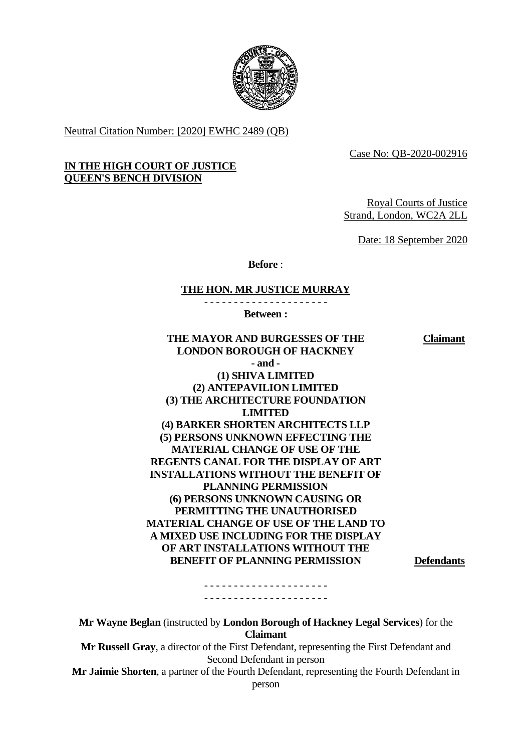

Neutral Citation Number: [2020] EWHC 2489 (QB)

Case No: QB-2020-002916

# **IN THE HIGH COURT OF JUSTICE QUEEN'S BENCH DIVISION**

Royal Courts of Justice Strand, London, WC2A 2LL

Date: 18 September 2020

**Before** :

#### **THE HON. MR JUSTICE MURRAY**

**Between :**

**THE MAYOR AND BURGESSES OF THE LONDON BOROUGH OF HACKNEY Claimant - and - (1) SHIVA LIMITED (2) ANTEPAVILION LIMITED (3) THE ARCHITECTURE FOUNDATION LIMITED (4) BARKER SHORTEN ARCHITECTS LLP (5) PERSONS UNKNOWN EFFECTING THE MATERIAL CHANGE OF USE OF THE REGENTS CANAL FOR THE DISPLAY OF ART INSTALLATIONS WITHOUT THE BENEFIT OF PLANNING PERMISSION (6) PERSONS UNKNOWN CAUSING OR PERMITTING THE UNAUTHORISED MATERIAL CHANGE OF USE OF THE LAND TO A MIXED USE INCLUDING FOR THE DISPLAY OF ART INSTALLATIONS WITHOUT THE BENEFIT OF PLANNING PERMISSION Defendants** - - - - - - - - - - - - - - - - - - - - -

**Mr Wayne Beglan** (instructed by **London Borough of Hackney Legal Services**) for the **Claimant Mr Russell Gray**, a director of the First Defendant, representing the First Defendant and Second Defendant in person **Mr Jaimie Shorten**, a partner of the Fourth Defendant, representing the Fourth Defendant in person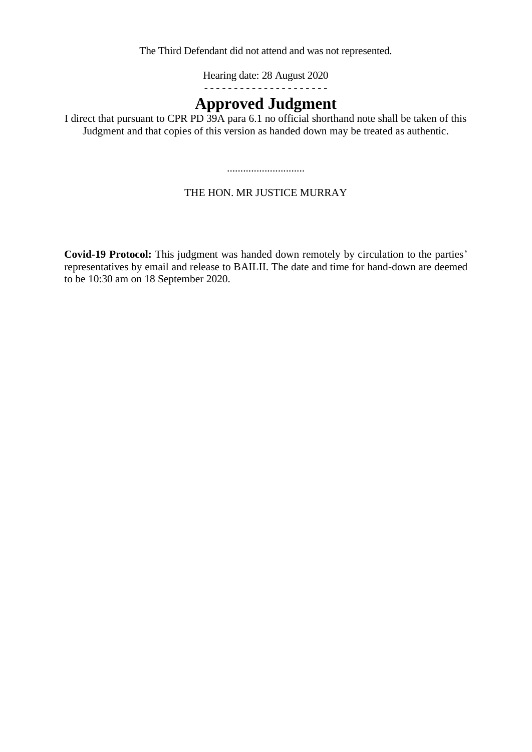The Third Defendant did not attend and was not represented.

Hearing date: 28 August 2020

- - - - - - - - - - - - - - - - - - - - -

# **Approved Judgment**

I direct that pursuant to CPR PD 39A para 6.1 no official shorthand note shall be taken of this Judgment and that copies of this version as handed down may be treated as authentic.

.............................

# THE HON. MR JUSTICE MURRAY

**Covid-19 Protocol:** This judgment was handed down remotely by circulation to the parties' representatives by email and release to BAILII. The date and time for hand-down are deemed to be 10:30 am on 18 September 2020.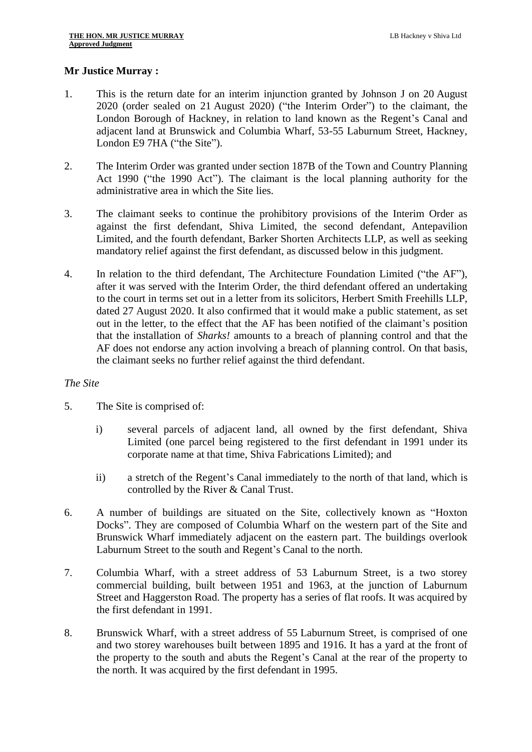### **Mr Justice Murray :**

- 1. This is the return date for an interim injunction granted by Johnson J on 20 August 2020 (order sealed on 21 August 2020) ("the Interim Order") to the claimant, the London Borough of Hackney, in relation to land known as the Regent's Canal and adjacent land at Brunswick and Columbia Wharf, 53-55 Laburnum Street, Hackney, London E9 7HA ("the Site").
- 2. The Interim Order was granted under section 187B of the Town and Country Planning Act 1990 ("the 1990 Act"). The claimant is the local planning authority for the administrative area in which the Site lies.
- 3. The claimant seeks to continue the prohibitory provisions of the Interim Order as against the first defendant, Shiva Limited, the second defendant, Antepavilion Limited, and the fourth defendant, Barker Shorten Architects LLP, as well as seeking mandatory relief against the first defendant, as discussed below in this judgment.
- 4. In relation to the third defendant, The Architecture Foundation Limited ("the AF"), after it was served with the Interim Order, the third defendant offered an undertaking to the court in terms set out in a letter from its solicitors, Herbert Smith Freehills LLP, dated 27 August 2020. It also confirmed that it would make a public statement, as set out in the letter, to the effect that the AF has been notified of the claimant's position that the installation of *Sharks!* amounts to a breach of planning control and that the AF does not endorse any action involving a breach of planning control. On that basis, the claimant seeks no further relief against the third defendant.

#### *The Site*

- 5. The Site is comprised of:
	- i) several parcels of adjacent land, all owned by the first defendant, Shiva Limited (one parcel being registered to the first defendant in 1991 under its corporate name at that time, Shiva Fabrications Limited); and
	- ii) a stretch of the Regent's Canal immediately to the north of that land, which is controlled by the River & Canal Trust.
- 6. A number of buildings are situated on the Site, collectively known as "Hoxton Docks". They are composed of Columbia Wharf on the western part of the Site and Brunswick Wharf immediately adjacent on the eastern part. The buildings overlook Laburnum Street to the south and Regent's Canal to the north.
- 7. Columbia Wharf, with a street address of 53 Laburnum Street, is a two storey commercial building, built between 1951 and 1963, at the junction of Laburnum Street and Haggerston Road. The property has a series of flat roofs. It was acquired by the first defendant in 1991.
- 8. Brunswick Wharf, with a street address of 55 Laburnum Street, is comprised of one and two storey warehouses built between 1895 and 1916. It has a yard at the front of the property to the south and abuts the Regent's Canal at the rear of the property to the north. It was acquired by the first defendant in 1995.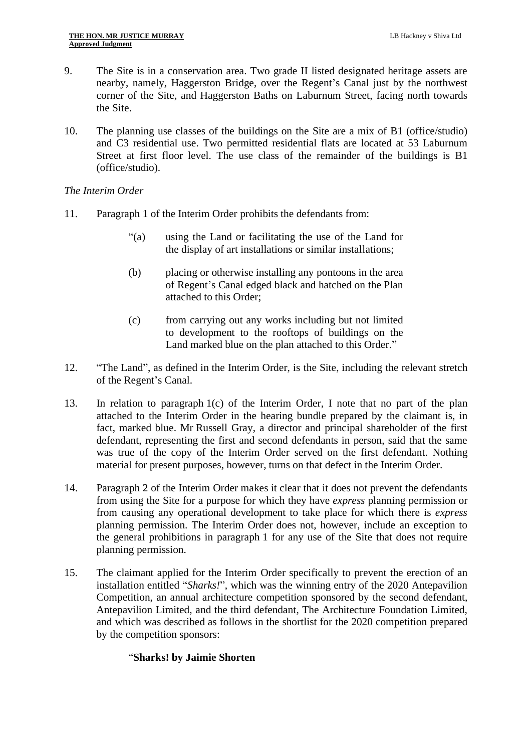- 9. The Site is in a conservation area. Two grade II listed designated heritage assets are nearby, namely, Haggerston Bridge, over the Regent's Canal just by the northwest corner of the Site, and Haggerston Baths on Laburnum Street, facing north towards the Site.
- 10. The planning use classes of the buildings on the Site are a mix of B1 (office/studio) and C3 residential use. Two permitted residential flats are located at 53 Laburnum Street at first floor level. The use class of the remainder of the buildings is B1 (office/studio).

#### *The Interim Order*

- 11. Paragraph 1 of the Interim Order prohibits the defendants from:
	- "(a) using the Land or facilitating the use of the Land for the display of art installations or similar installations;
	- (b) placing or otherwise installing any pontoons in the area of Regent's Canal edged black and hatched on the Plan attached to this Order;
	- (c) from carrying out any works including but not limited to development to the rooftops of buildings on the Land marked blue on the plan attached to this Order."
- 12. "The Land", as defined in the Interim Order, is the Site, including the relevant stretch of the Regent's Canal.
- 13. In relation to paragraph 1(c) of the Interim Order, I note that no part of the plan attached to the Interim Order in the hearing bundle prepared by the claimant is, in fact, marked blue. Mr Russell Gray, a director and principal shareholder of the first defendant, representing the first and second defendants in person, said that the same was true of the copy of the Interim Order served on the first defendant. Nothing material for present purposes, however, turns on that defect in the Interim Order.
- 14. Paragraph 2 of the Interim Order makes it clear that it does not prevent the defendants from using the Site for a purpose for which they have *express* planning permission or from causing any operational development to take place for which there is *express* planning permission. The Interim Order does not, however, include an exception to the general prohibitions in paragraph 1 for any use of the Site that does not require planning permission.
- <span id="page-3-0"></span>15. The claimant applied for the Interim Order specifically to prevent the erection of an installation entitled "*Sharks!*", which was the winning entry of the 2020 Antepavilion Competition, an annual architecture competition sponsored by the second defendant, Antepavilion Limited, and the third defendant, The Architecture Foundation Limited, and which was described as follows in the shortlist for the 2020 competition prepared by the competition sponsors:

#### "**Sharks! by Jaimie Shorten**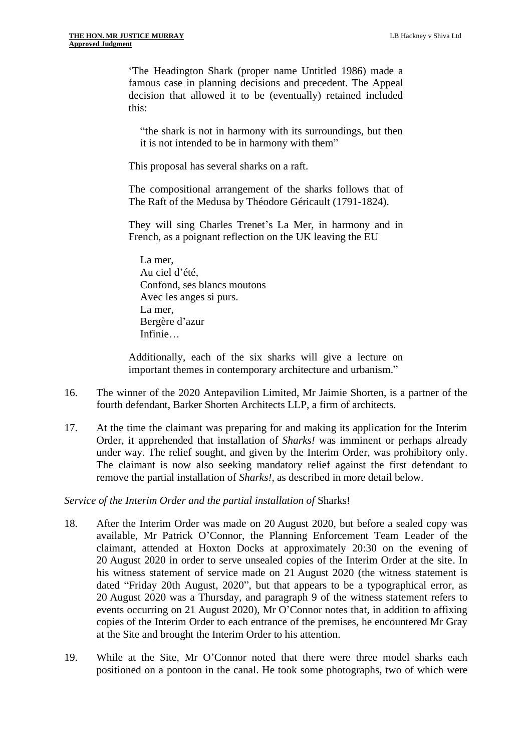'The Headington Shark (proper name Untitled 1986) made a famous case in planning decisions and precedent. The Appeal decision that allowed it to be (eventually) retained included this:

"the shark is not in harmony with its surroundings, but then it is not intended to be in harmony with them"

This proposal has several sharks on a raft.

The compositional arrangement of the sharks follows that of The Raft of the Medusa by Théodore Géricault (1791-1824).

They will sing Charles Trenet's La Mer, in harmony and in French, as a poignant reflection on the UK leaving the EU

La mer, Au ciel d'été, Confond, ses blancs moutons Avec les anges si purs. La mer, Bergère d'azur Infinie…

Additionally, each of the six sharks will give a lecture on important themes in contemporary architecture and urbanism."

- 16. The winner of the 2020 Antepavilion Limited, Mr Jaimie Shorten, is a partner of the fourth defendant, Barker Shorten Architects LLP, a firm of architects.
- 17. At the time the claimant was preparing for and making its application for the Interim Order, it apprehended that installation of *Sharks!* was imminent or perhaps already under way. The relief sought, and given by the Interim Order, was prohibitory only. The claimant is now also seeking mandatory relief against the first defendant to remove the partial installation of *Sharks!*, as described in more detail below.

*Service of the Interim Order and the partial installation of* Sharks!

- 18. After the Interim Order was made on 20 August 2020, but before a sealed copy was available, Mr Patrick O'Connor, the Planning Enforcement Team Leader of the claimant, attended at Hoxton Docks at approximately 20:30 on the evening of 20 August 2020 in order to serve unsealed copies of the Interim Order at the site. In his witness statement of service made on 21 August 2020 (the witness statement is dated "Friday 20th August, 2020", but that appears to be a typographical error, as 20 August 2020 was a Thursday, and paragraph 9 of the witness statement refers to events occurring on 21 August 2020), Mr O'Connor notes that, in addition to affixing copies of the Interim Order to each entrance of the premises, he encountered Mr Gray at the Site and brought the Interim Order to his attention.
- 19. While at the Site, Mr O'Connor noted that there were three model sharks each positioned on a pontoon in the canal. He took some photographs, two of which were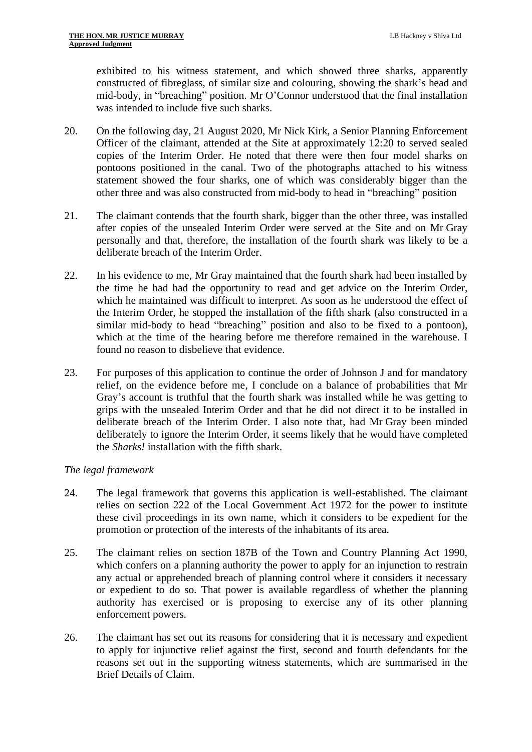exhibited to his witness statement, and which showed three sharks, apparently constructed of fibreglass, of similar size and colouring, showing the shark's head and mid-body, in "breaching" position. Mr O'Connor understood that the final installation was intended to include five such sharks.

- 20. On the following day, 21 August 2020, Mr Nick Kirk, a Senior Planning Enforcement Officer of the claimant, attended at the Site at approximately 12:20 to served sealed copies of the Interim Order. He noted that there were then four model sharks on pontoons positioned in the canal. Two of the photographs attached to his witness statement showed the four sharks, one of which was considerably bigger than the other three and was also constructed from mid-body to head in "breaching" position
- 21. The claimant contends that the fourth shark, bigger than the other three, was installed after copies of the unsealed Interim Order were served at the Site and on Mr Gray personally and that, therefore, the installation of the fourth shark was likely to be a deliberate breach of the Interim Order.
- 22. In his evidence to me, Mr Gray maintained that the fourth shark had been installed by the time he had had the opportunity to read and get advice on the Interim Order, which he maintained was difficult to interpret. As soon as he understood the effect of the Interim Order, he stopped the installation of the fifth shark (also constructed in a similar mid-body to head "breaching" position and also to be fixed to a pontoon), which at the time of the hearing before me therefore remained in the warehouse. I found no reason to disbelieve that evidence.
- 23. For purposes of this application to continue the order of Johnson J and for mandatory relief, on the evidence before me, I conclude on a balance of probabilities that Mr Gray's account is truthful that the fourth shark was installed while he was getting to grips with the unsealed Interim Order and that he did not direct it to be installed in deliberate breach of the Interim Order. I also note that, had Mr Gray been minded deliberately to ignore the Interim Order, it seems likely that he would have completed the *Sharks!* installation with the fifth shark.

# *The legal framework*

- 24. The legal framework that governs this application is well-established. The claimant relies on section 222 of the Local Government Act 1972 for the power to institute these civil proceedings in its own name, which it considers to be expedient for the promotion or protection of the interests of the inhabitants of its area.
- 25. The claimant relies on section 187B of the Town and Country Planning Act 1990, which confers on a planning authority the power to apply for an injunction to restrain any actual or apprehended breach of planning control where it considers it necessary or expedient to do so. That power is available regardless of whether the planning authority has exercised or is proposing to exercise any of its other planning enforcement powers.
- 26. The claimant has set out its reasons for considering that it is necessary and expedient to apply for injunctive relief against the first, second and fourth defendants for the reasons set out in the supporting witness statements, which are summarised in the Brief Details of Claim.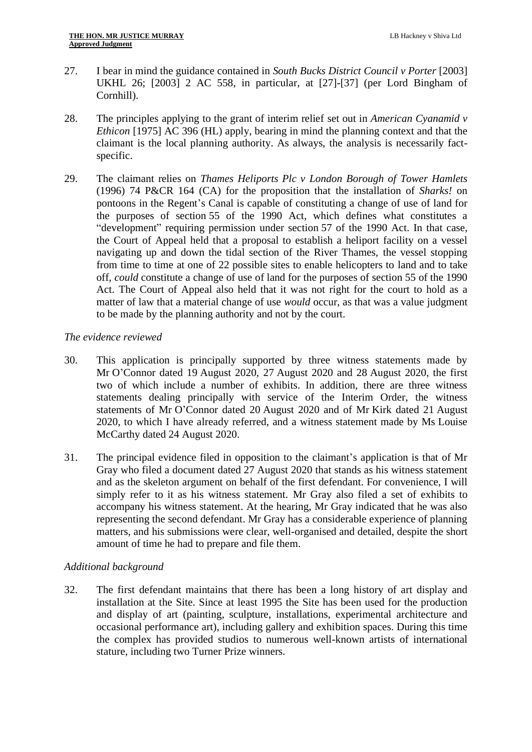- 27. I bear in mind the guidance contained in *South Bucks District Council v Porter* [2003] UKHL 26; [2003] 2 AC 558, in particular, at [27]-[37] (per Lord Bingham of Cornhill).
- 28. The principles applying to the grant of interim relief set out in *American Cyanamid v Ethicon* [1975] AC 396 (HL) apply, bearing in mind the planning context and that the claimant is the local planning authority. As always, the analysis is necessarily factspecific.
- 29. The claimant relies on *Thames Heliports Plc v London Borough of Tower Hamlets*  (1996) 74 P&CR 164 (CA) for the proposition that the installation of *Sharks!* on pontoons in the Regent's Canal is capable of constituting a change of use of land for the purposes of section 55 of the 1990 Act, which defines what constitutes a "development" requiring permission under section 57 of the 1990 Act. In that case, the Court of Appeal held that a proposal to establish a heliport facility on a vessel navigating up and down the tidal section of the River Thames, the vessel stopping from time to time at one of 22 possible sites to enable helicopters to land and to take off, *could* constitute a change of use of land for the purposes of section 55 of the 1990 Act. The Court of Appeal also held that it was not right for the court to hold as a matter of law that a material change of use *would* occur, as that was a value judgment to be made by the planning authority and not by the court.

#### *The evidence reviewed*

- 30. This application is principally supported by three witness statements made by Mr O'Connor dated 19 August 2020, 27 August 2020 and 28 August 2020, the first two of which include a number of exhibits. In addition, there are three witness statements dealing principally with service of the Interim Order, the witness statements of Mr O'Connor dated 20 August 2020 and of Mr Kirk dated 21 August 2020, to which I have already referred, and a witness statement made by Ms Louise McCarthy dated 24 August 2020.
- 31. The principal evidence filed in opposition to the claimant's application is that of Mr Gray who filed a document dated 27 August 2020 that stands as his witness statement and as the skeleton argument on behalf of the first defendant. For convenience, I will simply refer to it as his witness statement. Mr Gray also filed a set of exhibits to accompany his witness statement. At the hearing, Mr Gray indicated that he was also representing the second defendant. Mr Gray has a considerable experience of planning matters, and his submissions were clear, well-organised and detailed, despite the short amount of time he had to prepare and file them.

# *Additional background*

32. The first defendant maintains that there has been a long history of art display and installation at the Site. Since at least 1995 the Site has been used for the production and display of art (painting, sculpture, installations, experimental architecture and occasional performance art), including gallery and exhibition spaces. During this time the complex has provided studios to numerous well-known artists of international stature, including two Turner Prize winners.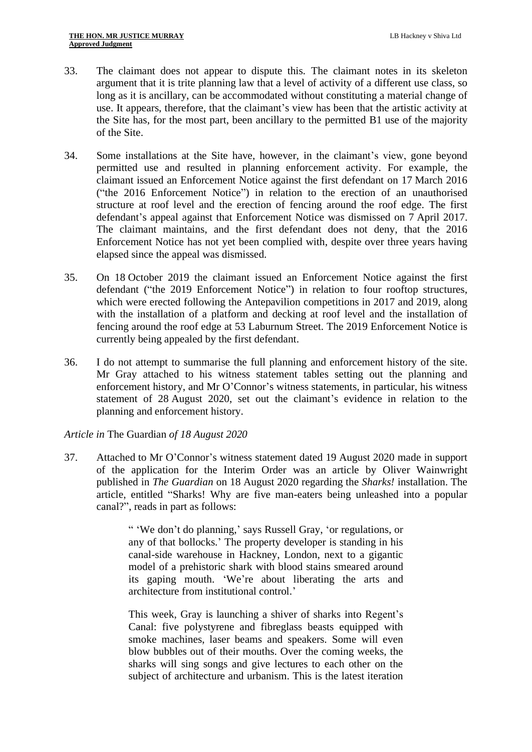- 33. The claimant does not appear to dispute this. The claimant notes in its skeleton argument that it is trite planning law that a level of activity of a different use class, so long as it is ancillary, can be accommodated without constituting a material change of use. It appears, therefore, that the claimant's view has been that the artistic activity at the Site has, for the most part, been ancillary to the permitted B1 use of the majority of the Site.
- 34. Some installations at the Site have, however, in the claimant's view, gone beyond permitted use and resulted in planning enforcement activity. For example, the claimant issued an Enforcement Notice against the first defendant on 17 March 2016 ("the 2016 Enforcement Notice") in relation to the erection of an unauthorised structure at roof level and the erection of fencing around the roof edge. The first defendant's appeal against that Enforcement Notice was dismissed on 7 April 2017. The claimant maintains, and the first defendant does not deny, that the 2016 Enforcement Notice has not yet been complied with, despite over three years having elapsed since the appeal was dismissed.
- 35. On 18 October 2019 the claimant issued an Enforcement Notice against the first defendant ("the 2019 Enforcement Notice") in relation to four rooftop structures, which were erected following the Antepavilion competitions in 2017 and 2019, along with the installation of a platform and decking at roof level and the installation of fencing around the roof edge at 53 Laburnum Street. The 2019 Enforcement Notice is currently being appealed by the first defendant.
- 36. I do not attempt to summarise the full planning and enforcement history of the site. Mr Gray attached to his witness statement tables setting out the planning and enforcement history, and Mr O'Connor's witness statements, in particular, his witness statement of 28 August 2020, set out the claimant's evidence in relation to the planning and enforcement history.

# *Article in* The Guardian *of 18 August 2020*

37. Attached to Mr O'Connor's witness statement dated 19 August 2020 made in support of the application for the Interim Order was an article by Oliver Wainwright published in *The Guardian* on 18 August 2020 regarding the *Sharks!* installation. The article, entitled "Sharks! Why are five man-eaters being unleashed into a popular canal?", reads in part as follows:

> " 'We don't do planning,' says Russell Gray, 'or regulations, or any of that bollocks.' The property developer is standing in his canal-side warehouse in Hackney, London, next to a gigantic model of a prehistoric shark with blood stains smeared around its gaping mouth. 'We're about liberating the arts and architecture from institutional control.'

> This week, Gray is launching a shiver of sharks into Regent's Canal: five polystyrene and fibreglass beasts equipped with smoke machines, laser beams and speakers. Some will even blow bubbles out of their mouths. Over the coming weeks, the sharks will sing songs and give lectures to each other on the subject of architecture and urbanism. This is the latest iteration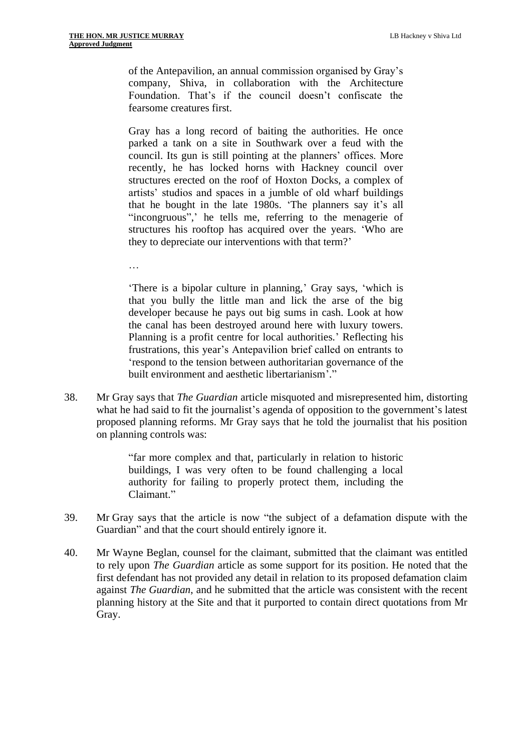of the Antepavilion, an annual commission organised by Gray's company, Shiva, in collaboration with the Architecture Foundation. That's if the council doesn't confiscate the fearsome creatures first.

Gray has a long record of baiting the authorities. He once parked a tank on a site in Southwark over a feud with the council. Its gun is still pointing at the planners' offices. More recently, he has locked horns with Hackney council over structures erected on the roof of Hoxton Docks, a complex of artists' studios and spaces in a jumble of old wharf buildings that he bought in the late 1980s. 'The planners say it's all "incongruous",' he tells me, referring to the menagerie of structures his rooftop has acquired over the years. 'Who are they to depreciate our interventions with that term?'

…

'There is a bipolar culture in planning,' Gray says, 'which is that you bully the little man and lick the arse of the big developer because he pays out big sums in cash. Look at how the canal has been destroyed around here with luxury towers. Planning is a profit centre for local authorities.' Reflecting his frustrations, this year's Antepavilion brief called on entrants to 'respond to the tension between authoritarian governance of the built environment and aesthetic libertarianism'."

38. Mr Gray says that *The Guardian* article misquoted and misrepresented him, distorting what he had said to fit the journalist's agenda of opposition to the government's latest proposed planning reforms. Mr Gray says that he told the journalist that his position on planning controls was:

> "far more complex and that, particularly in relation to historic buildings, I was very often to be found challenging a local authority for failing to properly protect them, including the Claimant."

- 39. Mr Gray says that the article is now "the subject of a defamation dispute with the Guardian" and that the court should entirely ignore it.
- 40. Mr Wayne Beglan, counsel for the claimant, submitted that the claimant was entitled to rely upon *The Guardian* article as some support for its position. He noted that the first defendant has not provided any detail in relation to its proposed defamation claim against *The Guardian*, and he submitted that the article was consistent with the recent planning history at the Site and that it purported to contain direct quotations from Mr Gray.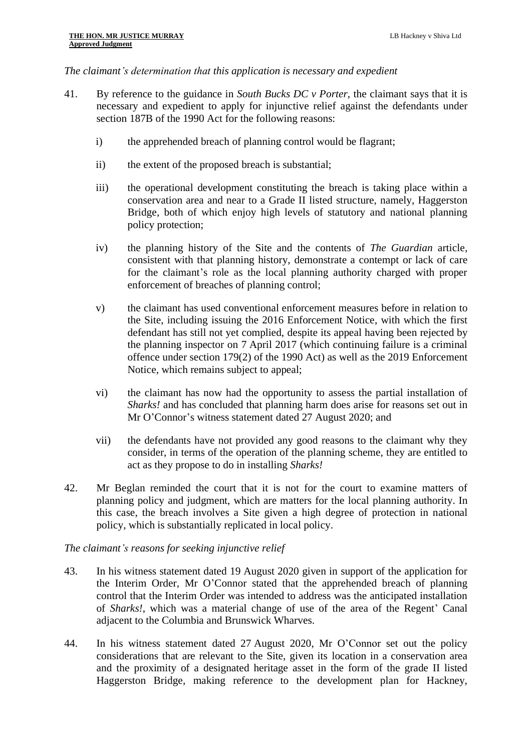#### *The claimant's determination that this application is necessary and expedient*

- 41. By reference to the guidance in *South Bucks DC v Porter*, the claimant says that it is necessary and expedient to apply for injunctive relief against the defendants under section 187B of the 1990 Act for the following reasons:
	- i) the apprehended breach of planning control would be flagrant;
	- ii) the extent of the proposed breach is substantial;
	- iii) the operational development constituting the breach is taking place within a conservation area and near to a Grade II listed structure, namely, Haggerston Bridge, both of which enjoy high levels of statutory and national planning policy protection;
	- iv) the planning history of the Site and the contents of *The Guardian* article, consistent with that planning history, demonstrate a contempt or lack of care for the claimant's role as the local planning authority charged with proper enforcement of breaches of planning control;
	- v) the claimant has used conventional enforcement measures before in relation to the Site, including issuing the 2016 Enforcement Notice, with which the first defendant has still not yet complied, despite its appeal having been rejected by the planning inspector on 7 April 2017 (which continuing failure is a criminal offence under section 179(2) of the 1990 Act) as well as the 2019 Enforcement Notice, which remains subject to appeal;
	- vi) the claimant has now had the opportunity to assess the partial installation of *Sharks!* and has concluded that planning harm does arise for reasons set out in Mr O'Connor's witness statement dated 27 August 2020; and
	- vii) the defendants have not provided any good reasons to the claimant why they consider, in terms of the operation of the planning scheme, they are entitled to act as they propose to do in installing *Sharks!*
- 42. Mr Beglan reminded the court that it is not for the court to examine matters of planning policy and judgment, which are matters for the local planning authority. In this case, the breach involves a Site given a high degree of protection in national policy, which is substantially replicated in local policy.

#### *The claimant's reasons for seeking injunctive relief*

- 43. In his witness statement dated 19 August 2020 given in support of the application for the Interim Order, Mr O'Connor stated that the apprehended breach of planning control that the Interim Order was intended to address was the anticipated installation of *Sharks!*, which was a material change of use of the area of the Regent' Canal adjacent to the Columbia and Brunswick Wharves.
- 44. In his witness statement dated 27 August 2020, Mr O'Connor set out the policy considerations that are relevant to the Site, given its location in a conservation area and the proximity of a designated heritage asset in the form of the grade II listed Haggerston Bridge, making reference to the development plan for Hackney,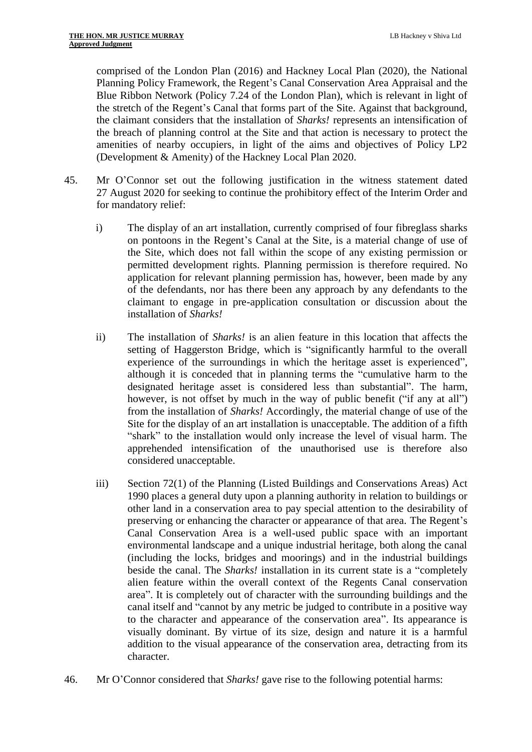comprised of the London Plan (2016) and Hackney Local Plan (2020), the National Planning Policy Framework, the Regent's Canal Conservation Area Appraisal and the Blue Ribbon Network (Policy 7.24 of the London Plan), which is relevant in light of the stretch of the Regent's Canal that forms part of the Site. Against that background, the claimant considers that the installation of *Sharks!* represents an intensification of the breach of planning control at the Site and that action is necessary to protect the amenities of nearby occupiers, in light of the aims and objectives of Policy LP2 (Development & Amenity) of the Hackney Local Plan 2020.

- 45. Mr O'Connor set out the following justification in the witness statement dated 27 August 2020 for seeking to continue the prohibitory effect of the Interim Order and for mandatory relief:
	- i) The display of an art installation, currently comprised of four fibreglass sharks on pontoons in the Regent's Canal at the Site, is a material change of use of the Site, which does not fall within the scope of any existing permission or permitted development rights. Planning permission is therefore required. No application for relevant planning permission has, however, been made by any of the defendants, nor has there been any approach by any defendants to the claimant to engage in pre-application consultation or discussion about the installation of *Sharks!*
	- ii) The installation of *Sharks!* is an alien feature in this location that affects the setting of Haggerston Bridge, which is "significantly harmful to the overall experience of the surroundings in which the heritage asset is experienced", although it is conceded that in planning terms the "cumulative harm to the designated heritage asset is considered less than substantial". The harm, however, is not offset by much in the way of public benefit ("if any at all") from the installation of *Sharks!* Accordingly, the material change of use of the Site for the display of an art installation is unacceptable. The addition of a fifth "shark" to the installation would only increase the level of visual harm. The apprehended intensification of the unauthorised use is therefore also considered unacceptable.
	- iii) Section 72(1) of the Planning (Listed Buildings and Conservations Areas) Act 1990 places a general duty upon a planning authority in relation to buildings or other land in a conservation area to pay special attention to the desirability of preserving or enhancing the character or appearance of that area. The Regent's Canal Conservation Area is a well-used public space with an important environmental landscape and a unique industrial heritage, both along the canal (including the locks, bridges and moorings) and in the industrial buildings beside the canal. The *Sharks!* installation in its current state is a "completely alien feature within the overall context of the Regents Canal conservation area". It is completely out of character with the surrounding buildings and the canal itself and "cannot by any metric be judged to contribute in a positive way to the character and appearance of the conservation area". Its appearance is visually dominant. By virtue of its size, design and nature it is a harmful addition to the visual appearance of the conservation area, detracting from its character.
- 46. Mr O'Connor considered that *Sharks!* gave rise to the following potential harms: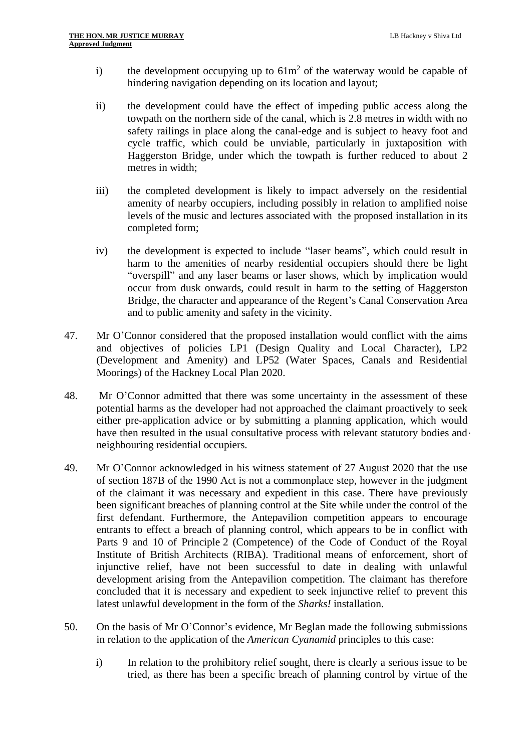- i) the development occupying up to  $61m^2$  of the waterway would be capable of hindering navigation depending on its location and layout;
- ii) the development could have the effect of impeding public access along the towpath on the northern side of the canal, which is 2.8 metres in width with no safety railings in place along the canal-edge and is subject to heavy foot and cycle traffic, which could be unviable, particularly in juxtaposition with Haggerston Bridge, under which the towpath is further reduced to about 2 metres in width;
- iii) the completed development is likely to impact adversely on the residential amenity of nearby occupiers, including possibly in relation to amplified noise levels of the music and lectures associated with the proposed installation in its completed form;
- iv) the development is expected to include "laser beams", which could result in harm to the amenities of nearby residential occupiers should there be light "overspill" and any laser beams or laser shows, which by implication would occur from dusk onwards, could result in harm to the setting of Haggerston Bridge, the character and appearance of the Regent's Canal Conservation Area and to public amenity and safety in the vicinity.
- 47. Mr O'Connor considered that the proposed installation would conflict with the aims and objectives of policies LP1 (Design Quality and Local Character), LP2 (Development and Amenity) and LP52 (Water Spaces, Canals and Residential Moorings) of the Hackney Local Plan 2020.
- 48. Mr O'Connor admitted that there was some uncertainty in the assessment of these potential harms as the developer had not approached the claimant proactively to seek either pre-application advice or by submitting a planning application, which would have then resulted in the usual consultative process with relevant statutory bodies and  $\cdot$ neighbouring residential occupiers.
- 49. Mr O'Connor acknowledged in his witness statement of 27 August 2020 that the use of section 187B of the 1990 Act is not a commonplace step, however in the judgment of the claimant it was necessary and expedient in this case. There have previously been significant breaches of planning control at the Site while under the control of the first defendant. Furthermore, the Antepavilion competition appears to encourage entrants to effect a breach of planning control, which appears to be in conflict with Parts 9 and 10 of Principle 2 (Competence) of the Code of Conduct of the Royal Institute of British Architects (RIBA). Traditional means of enforcement, short of injunctive relief, have not been successful to date in dealing with unlawful development arising from the Antepavilion competition. The claimant has therefore concluded that it is necessary and expedient to seek injunctive relief to prevent this latest unlawful development in the form of the *Sharks!* installation.
- 50. On the basis of Mr O'Connor's evidence, Mr Beglan made the following submissions in relation to the application of the *American Cyanamid* principles to this case:
	- i) In relation to the prohibitory relief sought, there is clearly a serious issue to be tried, as there has been a specific breach of planning control by virtue of the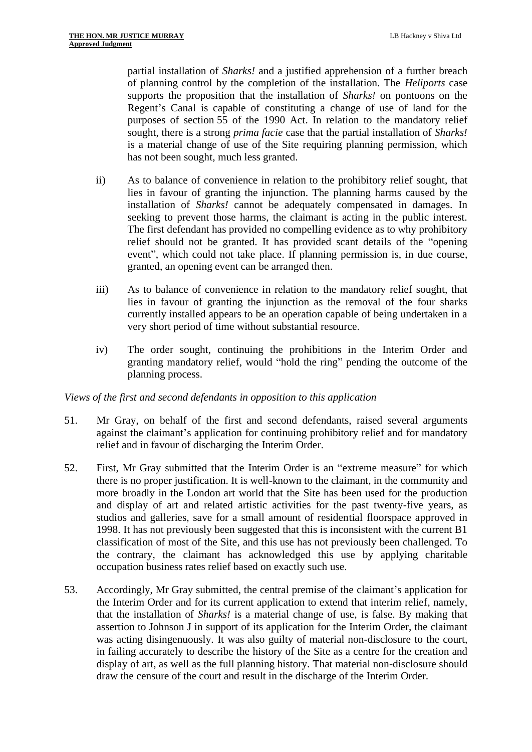partial installation of *Sharks!* and a justified apprehension of a further breach of planning control by the completion of the installation. The *Heliports* case supports the proposition that the installation of *Sharks!* on pontoons on the Regent's Canal is capable of constituting a change of use of land for the purposes of section 55 of the 1990 Act. In relation to the mandatory relief sought, there is a strong *prima facie* case that the partial installation of *Sharks!* is a material change of use of the Site requiring planning permission, which has not been sought, much less granted.

- ii) As to balance of convenience in relation to the prohibitory relief sought, that lies in favour of granting the injunction. The planning harms caused by the installation of *Sharks!* cannot be adequately compensated in damages. In seeking to prevent those harms, the claimant is acting in the public interest. The first defendant has provided no compelling evidence as to why prohibitory relief should not be granted. It has provided scant details of the "opening event", which could not take place. If planning permission is, in due course, granted, an opening event can be arranged then.
- iii) As to balance of convenience in relation to the mandatory relief sought, that lies in favour of granting the injunction as the removal of the four sharks currently installed appears to be an operation capable of being undertaken in a very short period of time without substantial resource.
- iv) The order sought, continuing the prohibitions in the Interim Order and granting mandatory relief, would "hold the ring" pending the outcome of the planning process.

# *Views of the first and second defendants in opposition to this application*

- 51. Mr Gray, on behalf of the first and second defendants, raised several arguments against the claimant's application for continuing prohibitory relief and for mandatory relief and in favour of discharging the Interim Order.
- 52. First, Mr Gray submitted that the Interim Order is an "extreme measure" for which there is no proper justification. It is well-known to the claimant, in the community and more broadly in the London art world that the Site has been used for the production and display of art and related artistic activities for the past twenty-five years, as studios and galleries, save for a small amount of residential floorspace approved in 1998. It has not previously been suggested that this is inconsistent with the current B1 classification of most of the Site, and this use has not previously been challenged. To the contrary, the claimant has acknowledged this use by applying charitable occupation business rates relief based on exactly such use.
- 53. Accordingly, Mr Gray submitted, the central premise of the claimant's application for the Interim Order and for its current application to extend that interim relief, namely, that the installation of *Sharks!* is a material change of use, is false. By making that assertion to Johnson J in support of its application for the Interim Order, the claimant was acting disingenuously. It was also guilty of material non-disclosure to the court, in failing accurately to describe the history of the Site as a centre for the creation and display of art, as well as the full planning history. That material non-disclosure should draw the censure of the court and result in the discharge of the Interim Order.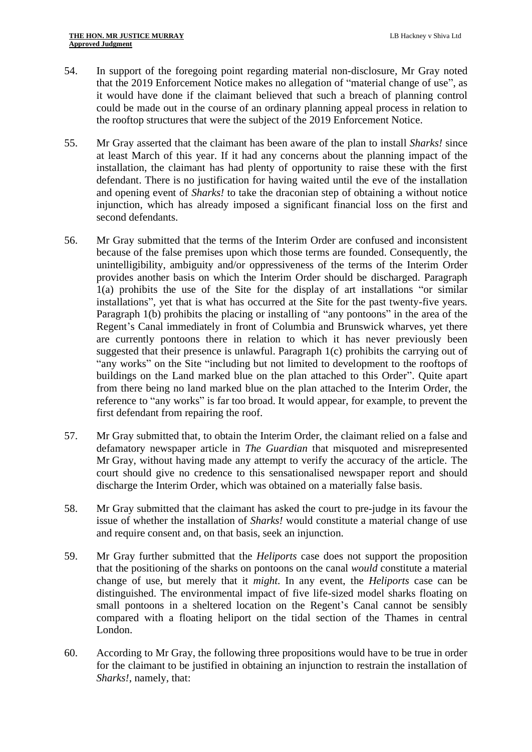- 54. In support of the foregoing point regarding material non-disclosure, Mr Gray noted that the 2019 Enforcement Notice makes no allegation of "material change of use", as it would have done if the claimant believed that such a breach of planning control could be made out in the course of an ordinary planning appeal process in relation to the rooftop structures that were the subject of the 2019 Enforcement Notice.
- 55. Mr Gray asserted that the claimant has been aware of the plan to install *Sharks!* since at least March of this year. If it had any concerns about the planning impact of the installation, the claimant has had plenty of opportunity to raise these with the first defendant. There is no justification for having waited until the eve of the installation and opening event of *Sharks!* to take the draconian step of obtaining a without notice injunction, which has already imposed a significant financial loss on the first and second defendants.
- 56. Mr Gray submitted that the terms of the Interim Order are confused and inconsistent because of the false premises upon which those terms are founded. Consequently, the unintelligibility, ambiguity and/or oppressiveness of the terms of the Interim Order provides another basis on which the Interim Order should be discharged. Paragraph 1(a) prohibits the use of the Site for the display of art installations "or similar installations", yet that is what has occurred at the Site for the past twenty-five years. Paragraph 1(b) prohibits the placing or installing of "any pontoons" in the area of the Regent's Canal immediately in front of Columbia and Brunswick wharves, yet there are currently pontoons there in relation to which it has never previously been suggested that their presence is unlawful. Paragraph 1(c) prohibits the carrying out of "any works" on the Site "including but not limited to development to the rooftops of buildings on the Land marked blue on the plan attached to this Order". Quite apart from there being no land marked blue on the plan attached to the Interim Order, the reference to "any works" is far too broad. It would appear, for example, to prevent the first defendant from repairing the roof.
- 57. Mr Gray submitted that, to obtain the Interim Order, the claimant relied on a false and defamatory newspaper article in *The Guardian* that misquoted and misrepresented Mr Gray, without having made any attempt to verify the accuracy of the article. The court should give no credence to this sensationalised newspaper report and should discharge the Interim Order, which was obtained on a materially false basis.
- 58. Mr Gray submitted that the claimant has asked the court to pre-judge in its favour the issue of whether the installation of *Sharks!* would constitute a material change of use and require consent and, on that basis, seek an injunction.
- 59. Mr Gray further submitted that the *Heliports* case does not support the proposition that the positioning of the sharks on pontoons on the canal *would* constitute a material change of use, but merely that it *might*. In any event, the *Heliports* case can be distinguished. The environmental impact of five life-sized model sharks floating on small pontoons in a sheltered location on the Regent's Canal cannot be sensibly compared with a floating heliport on the tidal section of the Thames in central London.
- <span id="page-13-0"></span>60. According to Mr Gray, the following three propositions would have to be true in order for the claimant to be justified in obtaining an injunction to restrain the installation of *Sharks!*, namely, that: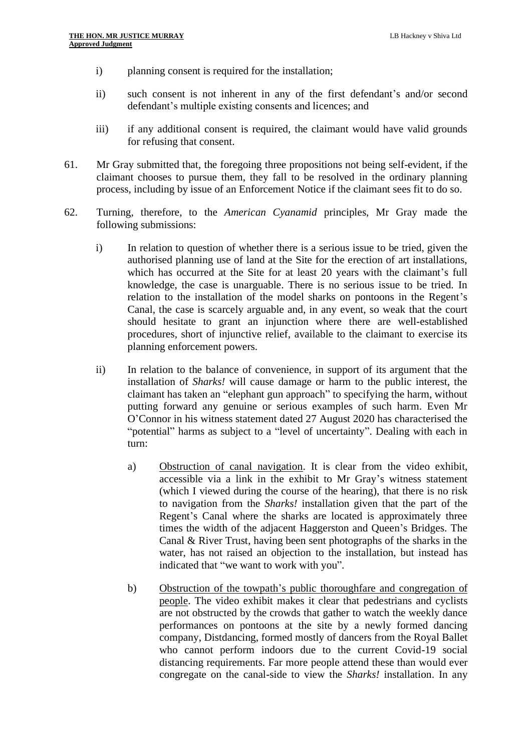- i) planning consent is required for the installation;
- ii) such consent is not inherent in any of the first defendant's and/or second defendant's multiple existing consents and licences; and
- iii) if any additional consent is required, the claimant would have valid grounds for refusing that consent.
- 61. Mr Gray submitted that, the foregoing three propositions not being self-evident, if the claimant chooses to pursue them, they fall to be resolved in the ordinary planning process, including by issue of an Enforcement Notice if the claimant sees fit to do so.
- 62. Turning, therefore, to the *American Cyanamid* principles, Mr Gray made the following submissions:
	- i) In relation to question of whether there is a serious issue to be tried, given the authorised planning use of land at the Site for the erection of art installations, which has occurred at the Site for at least 20 years with the claimant's full knowledge, the case is unarguable. There is no serious issue to be tried. In relation to the installation of the model sharks on pontoons in the Regent's Canal, the case is scarcely arguable and, in any event, so weak that the court should hesitate to grant an injunction where there are well-established procedures, short of injunctive relief, available to the claimant to exercise its planning enforcement powers.
	- ii) In relation to the balance of convenience, in support of its argument that the installation of *Sharks!* will cause damage or harm to the public interest, the claimant has taken an "elephant gun approach" to specifying the harm, without putting forward any genuine or serious examples of such harm. Even Mr O'Connor in his witness statement dated 27 August 2020 has characterised the "potential" harms as subject to a "level of uncertainty". Dealing with each in turn:
		- a) Obstruction of canal navigation. It is clear from the video exhibit, accessible via a link in the exhibit to Mr Gray's witness statement (which I viewed during the course of the hearing), that there is no risk to navigation from the *Sharks!* installation given that the part of the Regent's Canal where the sharks are located is approximately three times the width of the adjacent Haggerston and Queen's Bridges. The Canal & River Trust, having been sent photographs of the sharks in the water, has not raised an objection to the installation, but instead has indicated that "we want to work with you".
		- b) Obstruction of the towpath's public thoroughfare and congregation of people. The video exhibit makes it clear that pedestrians and cyclists are not obstructed by the crowds that gather to watch the weekly dance performances on pontoons at the site by a newly formed dancing company, Distdancing, formed mostly of dancers from the Royal Ballet who cannot perform indoors due to the current Covid-19 social distancing requirements. Far more people attend these than would ever congregate on the canal-side to view the *Sharks!* installation. In any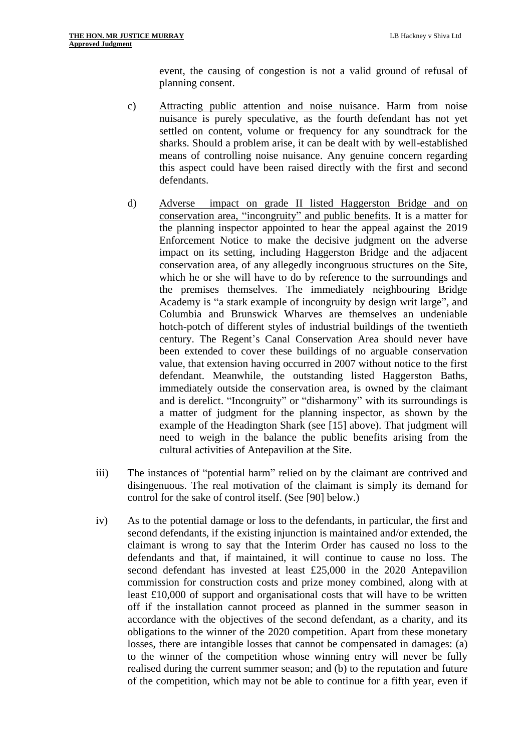event, the causing of congestion is not a valid ground of refusal of planning consent.

- c) Attracting public attention and noise nuisance. Harm from noise nuisance is purely speculative, as the fourth defendant has not yet settled on content, volume or frequency for any soundtrack for the sharks. Should a problem arise, it can be dealt with by well-established means of controlling noise nuisance. Any genuine concern regarding this aspect could have been raised directly with the first and second defendants.
- d) Adverse impact on grade II listed Haggerston Bridge and on conservation area, "incongruity" and public benefits. It is a matter for the planning inspector appointed to hear the appeal against the 2019 Enforcement Notice to make the decisive judgment on the adverse impact on its setting, including Haggerston Bridge and the adjacent conservation area, of any allegedly incongruous structures on the Site, which he or she will have to do by reference to the surroundings and the premises themselves. The immediately neighbouring Bridge Academy is "a stark example of incongruity by design writ large", and Columbia and Brunswick Wharves are themselves an undeniable hotch-potch of different styles of industrial buildings of the twentieth century. The Regent's Canal Conservation Area should never have been extended to cover these buildings of no arguable conservation value, that extension having occurred in 2007 without notice to the first defendant. Meanwhile, the outstanding listed Haggerston Baths, immediately outside the conservation area, is owned by the claimant and is derelict. "Incongruity" or "disharmony" with its surroundings is a matter of judgment for the planning inspector, as shown by the example of the Headington Shark (see [\[15\]](#page-3-0) above). That judgment will need to weigh in the balance the public benefits arising from the cultural activities of Antepavilion at the Site.
- iii) The instances of "potential harm" relied on by the claimant are contrived and disingenuous. The real motivation of the claimant is simply its demand for control for the sake of control itself. (See [\[90\]](#page-20-0) below.)
- iv) As to the potential damage or loss to the defendants, in particular, the first and second defendants, if the existing injunction is maintained and/or extended, the claimant is wrong to say that the Interim Order has caused no loss to the defendants and that, if maintained, it will continue to cause no loss. The second defendant has invested at least £25,000 in the 2020 Antepavilion commission for construction costs and prize money combined, along with at least £10,000 of support and organisational costs that will have to be written off if the installation cannot proceed as planned in the summer season in accordance with the objectives of the second defendant, as a charity, and its obligations to the winner of the 2020 competition. Apart from these monetary losses, there are intangible losses that cannot be compensated in damages: (a) to the winner of the competition whose winning entry will never be fully realised during the current summer season; and (b) to the reputation and future of the competition, which may not be able to continue for a fifth year, even if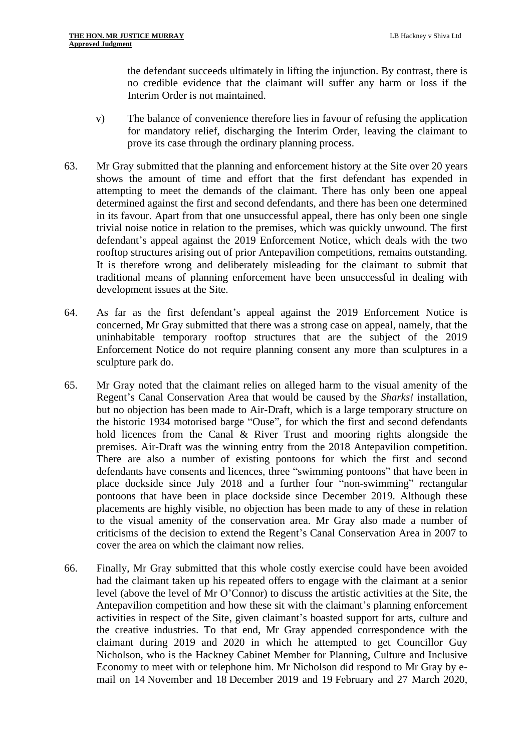the defendant succeeds ultimately in lifting the injunction. By contrast, there is no credible evidence that the claimant will suffer any harm or loss if the Interim Order is not maintained.

- v) The balance of convenience therefore lies in favour of refusing the application for mandatory relief, discharging the Interim Order, leaving the claimant to prove its case through the ordinary planning process.
- 63. Mr Gray submitted that the planning and enforcement history at the Site over 20 years shows the amount of time and effort that the first defendant has expended in attempting to meet the demands of the claimant. There has only been one appeal determined against the first and second defendants, and there has been one determined in its favour. Apart from that one unsuccessful appeal, there has only been one single trivial noise notice in relation to the premises, which was quickly unwound. The first defendant's appeal against the 2019 Enforcement Notice, which deals with the two rooftop structures arising out of prior Antepavilion competitions, remains outstanding. It is therefore wrong and deliberately misleading for the claimant to submit that traditional means of planning enforcement have been unsuccessful in dealing with development issues at the Site.
- 64. As far as the first defendant's appeal against the 2019 Enforcement Notice is concerned, Mr Gray submitted that there was a strong case on appeal, namely, that the uninhabitable temporary rooftop structures that are the subject of the 2019 Enforcement Notice do not require planning consent any more than sculptures in a sculpture park do.
- 65. Mr Gray noted that the claimant relies on alleged harm to the visual amenity of the Regent's Canal Conservation Area that would be caused by the *Sharks!* installation, but no objection has been made to Air-Draft, which is a large temporary structure on the historic 1934 motorised barge "Ouse", for which the first and second defendants hold licences from the Canal & River Trust and mooring rights alongside the premises. Air-Draft was the winning entry from the 2018 Antepavilion competition. There are also a number of existing pontoons for which the first and second defendants have consents and licences, three "swimming pontoons" that have been in place dockside since July 2018 and a further four "non-swimming" rectangular pontoons that have been in place dockside since December 2019. Although these placements are highly visible, no objection has been made to any of these in relation to the visual amenity of the conservation area. Mr Gray also made a number of criticisms of the decision to extend the Regent's Canal Conservation Area in 2007 to cover the area on which the claimant now relies.
- 66. Finally, Mr Gray submitted that this whole costly exercise could have been avoided had the claimant taken up his repeated offers to engage with the claimant at a senior level (above the level of Mr O'Connor) to discuss the artistic activities at the Site, the Antepavilion competition and how these sit with the claimant's planning enforcement activities in respect of the Site, given claimant's boasted support for arts, culture and the creative industries. To that end, Mr Gray appended correspondence with the claimant during 2019 and 2020 in which he attempted to get Councillor Guy Nicholson, who is the Hackney Cabinet Member for Planning, Culture and Inclusive Economy to meet with or telephone him. Mr Nicholson did respond to Mr Gray by email on 14 November and 18 December 2019 and 19 February and 27 March 2020,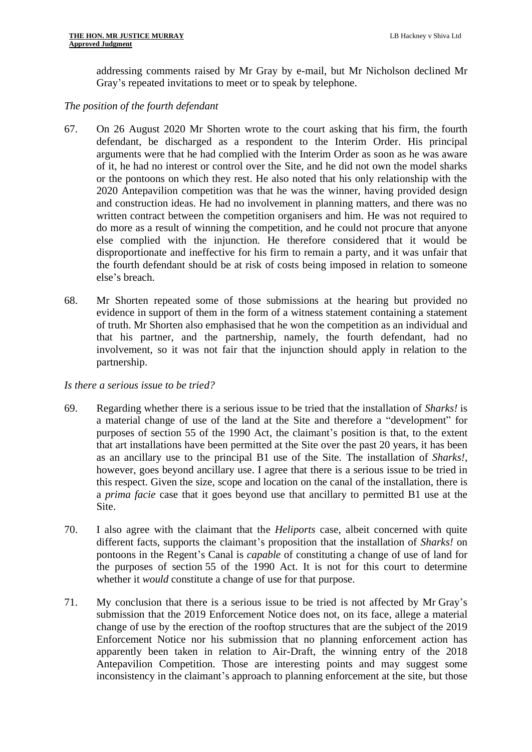addressing comments raised by Mr Gray by e-mail, but Mr Nicholson declined Mr Gray's repeated invitations to meet or to speak by telephone.

### *The position of the fourth defendant*

- 67. On 26 August 2020 Mr Shorten wrote to the court asking that his firm, the fourth defendant, be discharged as a respondent to the Interim Order. His principal arguments were that he had complied with the Interim Order as soon as he was aware of it, he had no interest or control over the Site, and he did not own the model sharks or the pontoons on which they rest. He also noted that his only relationship with the 2020 Antepavilion competition was that he was the winner, having provided design and construction ideas. He had no involvement in planning matters, and there was no written contract between the competition organisers and him. He was not required to do more as a result of winning the competition, and he could not procure that anyone else complied with the injunction. He therefore considered that it would be disproportionate and ineffective for his firm to remain a party, and it was unfair that the fourth defendant should be at risk of costs being imposed in relation to someone else's breach.
- 68. Mr Shorten repeated some of those submissions at the hearing but provided no evidence in support of them in the form of a witness statement containing a statement of truth. Mr Shorten also emphasised that he won the competition as an individual and that his partner, and the partnership, namely, the fourth defendant, had no involvement, so it was not fair that the injunction should apply in relation to the partnership.

#### *Is there a serious issue to be tried?*

- 69. Regarding whether there is a serious issue to be tried that the installation of *Sharks!* is a material change of use of the land at the Site and therefore a "development" for purposes of section 55 of the 1990 Act, the claimant's position is that, to the extent that art installations have been permitted at the Site over the past 20 years, it has been as an ancillary use to the principal B1 use of the Site. The installation of *Sharks!*, however, goes beyond ancillary use. I agree that there is a serious issue to be tried in this respect. Given the size, scope and location on the canal of the installation, there is a *prima facie* case that it goes beyond use that ancillary to permitted B1 use at the Site.
- 70. I also agree with the claimant that the *Heliports* case, albeit concerned with quite different facts, supports the claimant's proposition that the installation of *Sharks!* on pontoons in the Regent's Canal is *capable* of constituting a change of use of land for the purposes of section 55 of the 1990 Act. It is not for this court to determine whether it *would* constitute a change of use for that purpose.
- 71. My conclusion that there is a serious issue to be tried is not affected by Mr Gray's submission that the 2019 Enforcement Notice does not, on its face, allege a material change of use by the erection of the rooftop structures that are the subject of the 2019 Enforcement Notice nor his submission that no planning enforcement action has apparently been taken in relation to Air-Draft, the winning entry of the 2018 Antepavilion Competition. Those are interesting points and may suggest some inconsistency in the claimant's approach to planning enforcement at the site, but those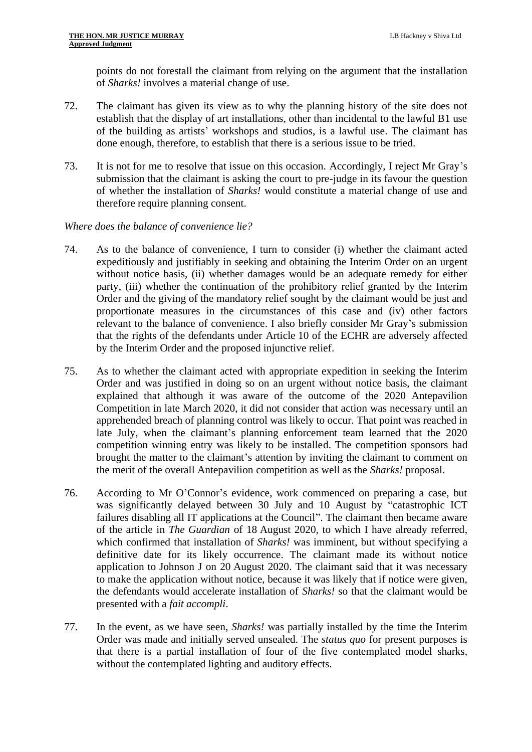points do not forestall the claimant from relying on the argument that the installation of *Sharks!* involves a material change of use.

- 72. The claimant has given its view as to why the planning history of the site does not establish that the display of art installations, other than incidental to the lawful B1 use of the building as artists' workshops and studios, is a lawful use. The claimant has done enough, therefore, to establish that there is a serious issue to be tried.
- 73. It is not for me to resolve that issue on this occasion. Accordingly, I reject Mr Gray's submission that the claimant is asking the court to pre-judge in its favour the question of whether the installation of *Sharks!* would constitute a material change of use and therefore require planning consent.

#### *Where does the balance of convenience lie?*

- 74. As to the balance of convenience, I turn to consider (i) whether the claimant acted expeditiously and justifiably in seeking and obtaining the Interim Order on an urgent without notice basis, (ii) whether damages would be an adequate remedy for either party, (iii) whether the continuation of the prohibitory relief granted by the Interim Order and the giving of the mandatory relief sought by the claimant would be just and proportionate measures in the circumstances of this case and (iv) other factors relevant to the balance of convenience. I also briefly consider Mr Gray's submission that the rights of the defendants under Article 10 of the ECHR are adversely affected by the Interim Order and the proposed injunctive relief.
- 75. As to whether the claimant acted with appropriate expedition in seeking the Interim Order and was justified in doing so on an urgent without notice basis, the claimant explained that although it was aware of the outcome of the 2020 Antepavilion Competition in late March 2020, it did not consider that action was necessary until an apprehended breach of planning control was likely to occur. That point was reached in late July, when the claimant's planning enforcement team learned that the 2020 competition winning entry was likely to be installed. The competition sponsors had brought the matter to the claimant's attention by inviting the claimant to comment on the merit of the overall Antepavilion competition as well as the *Sharks!* proposal.
- 76. According to Mr O'Connor's evidence, work commenced on preparing a case, but was significantly delayed between 30 July and 10 August by "catastrophic ICT failures disabling all IT applications at the Council". The claimant then became aware of the article in *The Guardian* of 18 August 2020, to which I have already referred, which confirmed that installation of *Sharks!* was imminent, but without specifying a definitive date for its likely occurrence. The claimant made its without notice application to Johnson J on 20 August 2020. The claimant said that it was necessary to make the application without notice, because it was likely that if notice were given, the defendants would accelerate installation of *Sharks!* so that the claimant would be presented with a *fait accompli*.
- 77. In the event, as we have seen, *Sharks!* was partially installed by the time the Interim Order was made and initially served unsealed. The *status quo* for present purposes is that there is a partial installation of four of the five contemplated model sharks, without the contemplated lighting and auditory effects.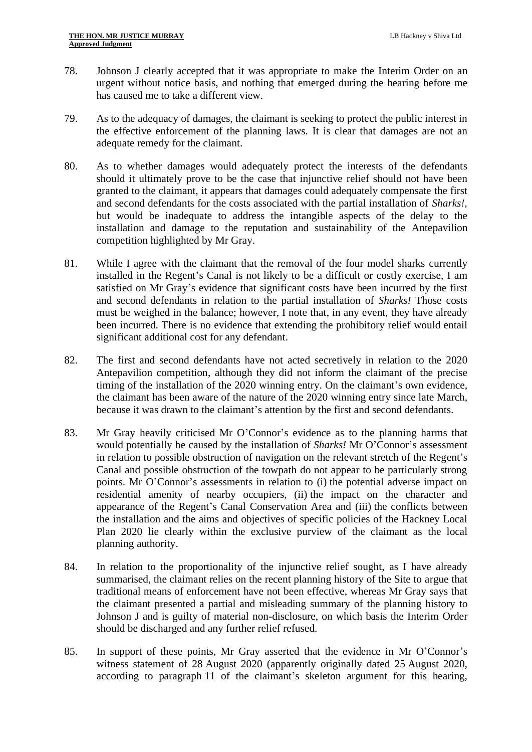- 78. Johnson J clearly accepted that it was appropriate to make the Interim Order on an urgent without notice basis, and nothing that emerged during the hearing before me has caused me to take a different view.
- 79. As to the adequacy of damages, the claimant is seeking to protect the public interest in the effective enforcement of the planning laws. It is clear that damages are not an adequate remedy for the claimant.
- 80. As to whether damages would adequately protect the interests of the defendants should it ultimately prove to be the case that injunctive relief should not have been granted to the claimant, it appears that damages could adequately compensate the first and second defendants for the costs associated with the partial installation of *Sharks!*, but would be inadequate to address the intangible aspects of the delay to the installation and damage to the reputation and sustainability of the Antepavilion competition highlighted by Mr Gray.
- 81. While I agree with the claimant that the removal of the four model sharks currently installed in the Regent's Canal is not likely to be a difficult or costly exercise, I am satisfied on Mr Gray's evidence that significant costs have been incurred by the first and second defendants in relation to the partial installation of *Sharks!* Those costs must be weighed in the balance; however, I note that, in any event, they have already been incurred. There is no evidence that extending the prohibitory relief would entail significant additional cost for any defendant.
- 82. The first and second defendants have not acted secretively in relation to the 2020 Antepavilion competition, although they did not inform the claimant of the precise timing of the installation of the 2020 winning entry. On the claimant's own evidence, the claimant has been aware of the nature of the 2020 winning entry since late March, because it was drawn to the claimant's attention by the first and second defendants.
- 83. Mr Gray heavily criticised Mr O'Connor's evidence as to the planning harms that would potentially be caused by the installation of *Sharks!* Mr O'Connor's assessment in relation to possible obstruction of navigation on the relevant stretch of the Regent's Canal and possible obstruction of the towpath do not appear to be particularly strong points. Mr O'Connor's assessments in relation to (i) the potential adverse impact on residential amenity of nearby occupiers, (ii) the impact on the character and appearance of the Regent's Canal Conservation Area and (iii) the conflicts between the installation and the aims and objectives of specific policies of the Hackney Local Plan 2020 lie clearly within the exclusive purview of the claimant as the local planning authority.
- 84. In relation to the proportionality of the injunctive relief sought, as I have already summarised, the claimant relies on the recent planning history of the Site to argue that traditional means of enforcement have not been effective, whereas Mr Gray says that the claimant presented a partial and misleading summary of the planning history to Johnson J and is guilty of material non-disclosure, on which basis the Interim Order should be discharged and any further relief refused.
- 85. In support of these points, Mr Gray asserted that the evidence in Mr O'Connor's witness statement of 28 August 2020 (apparently originally dated 25 August 2020, according to paragraph 11 of the claimant's skeleton argument for this hearing,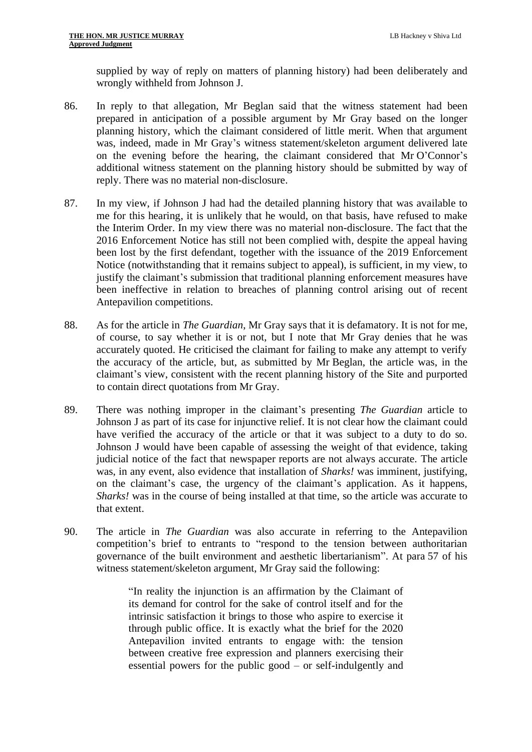supplied by way of reply on matters of planning history) had been deliberately and wrongly withheld from Johnson J.

- 86. In reply to that allegation, Mr Beglan said that the witness statement had been prepared in anticipation of a possible argument by Mr Gray based on the longer planning history, which the claimant considered of little merit. When that argument was, indeed, made in Mr Gray's witness statement/skeleton argument delivered late on the evening before the hearing, the claimant considered that Mr O'Connor's additional witness statement on the planning history should be submitted by way of reply. There was no material non-disclosure.
- 87. In my view, if Johnson J had had the detailed planning history that was available to me for this hearing, it is unlikely that he would, on that basis, have refused to make the Interim Order. In my view there was no material non-disclosure. The fact that the 2016 Enforcement Notice has still not been complied with, despite the appeal having been lost by the first defendant, together with the issuance of the 2019 Enforcement Notice (notwithstanding that it remains subject to appeal), is sufficient, in my view, to justify the claimant's submission that traditional planning enforcement measures have been ineffective in relation to breaches of planning control arising out of recent Antepavilion competitions.
- 88. As for the article in *The Guardian*, Mr Gray says that it is defamatory. It is not for me, of course, to say whether it is or not, but I note that Mr Gray denies that he was accurately quoted. He criticised the claimant for failing to make any attempt to verify the accuracy of the article, but, as submitted by Mr Beglan, the article was, in the claimant's view, consistent with the recent planning history of the Site and purported to contain direct quotations from Mr Gray.
- 89. There was nothing improper in the claimant's presenting *The Guardian* article to Johnson J as part of its case for injunctive relief. It is not clear how the claimant could have verified the accuracy of the article or that it was subject to a duty to do so. Johnson J would have been capable of assessing the weight of that evidence, taking judicial notice of the fact that newspaper reports are not always accurate. The article was, in any event, also evidence that installation of *Sharks!* was imminent, justifying, on the claimant's case, the urgency of the claimant's application. As it happens, *Sharks!* was in the course of being installed at that time, so the article was accurate to that extent.
- <span id="page-20-0"></span>90. The article in *The Guardian* was also accurate in referring to the Antepavilion competition's brief to entrants to "respond to the tension between authoritarian governance of the built environment and aesthetic libertarianism". At para 57 of his witness statement/skeleton argument, Mr Gray said the following:

"In reality the injunction is an affirmation by the Claimant of its demand for control for the sake of control itself and for the intrinsic satisfaction it brings to those who aspire to exercise it through public office. It is exactly what the brief for the 2020 Antepavilion invited entrants to engage with: the tension between creative free expression and planners exercising their essential powers for the public good – or self-indulgently and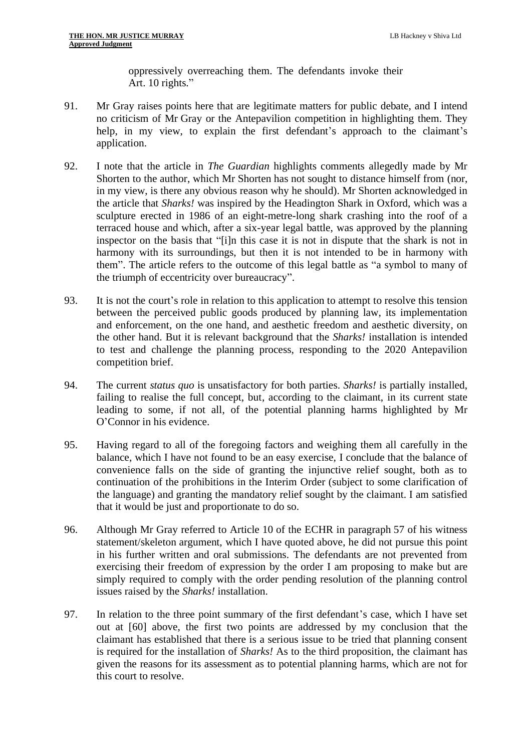oppressively overreaching them. The defendants invoke their Art. 10 rights."

- 91. Mr Gray raises points here that are legitimate matters for public debate, and I intend no criticism of Mr Gray or the Antepavilion competition in highlighting them. They help, in my view, to explain the first defendant's approach to the claimant's application.
- 92. I note that the article in *The Guardian* highlights comments allegedly made by Mr Shorten to the author, which Mr Shorten has not sought to distance himself from (nor, in my view, is there any obvious reason why he should). Mr Shorten acknowledged in the article that *Sharks!* was inspired by the Headington Shark in Oxford, which was a sculpture erected in 1986 of an eight-metre-long shark crashing into the roof of a terraced house and which, after a six-year legal battle, was approved by the planning inspector on the basis that "[i]n this case it is not in dispute that the shark is not in harmony with its surroundings, but then it is not intended to be in harmony with them". The article refers to the outcome of this legal battle as "a symbol to many of the triumph of eccentricity over bureaucracy".
- 93. It is not the court's role in relation to this application to attempt to resolve this tension between the perceived public goods produced by planning law, its implementation and enforcement, on the one hand, and aesthetic freedom and aesthetic diversity, on the other hand. But it is relevant background that the *Sharks!* installation is intended to test and challenge the planning process, responding to the 2020 Antepavilion competition brief.
- 94. The current *status quo* is unsatisfactory for both parties. *Sharks!* is partially installed, failing to realise the full concept, but, according to the claimant, in its current state leading to some, if not all, of the potential planning harms highlighted by Mr O'Connor in his evidence.
- 95. Having regard to all of the foregoing factors and weighing them all carefully in the balance, which I have not found to be an easy exercise, I conclude that the balance of convenience falls on the side of granting the injunctive relief sought, both as to continuation of the prohibitions in the Interim Order (subject to some clarification of the language) and granting the mandatory relief sought by the claimant. I am satisfied that it would be just and proportionate to do so.
- 96. Although Mr Gray referred to Article 10 of the ECHR in paragraph 57 of his witness statement/skeleton argument, which I have quoted above, he did not pursue this point in his further written and oral submissions. The defendants are not prevented from exercising their freedom of expression by the order I am proposing to make but are simply required to comply with the order pending resolution of the planning control issues raised by the *Sharks!* installation.
- 97. In relation to the three point summary of the first defendant's case, which I have set out at [\[60\]](#page-13-0) above, the first two points are addressed by my conclusion that the claimant has established that there is a serious issue to be tried that planning consent is required for the installation of *Sharks!* As to the third proposition, the claimant has given the reasons for its assessment as to potential planning harms, which are not for this court to resolve.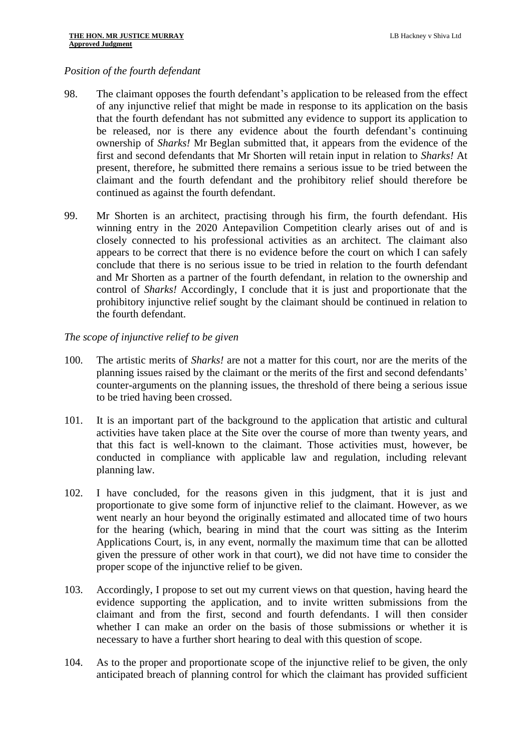#### *Position of the fourth defendant*

- 98. The claimant opposes the fourth defendant's application to be released from the effect of any injunctive relief that might be made in response to its application on the basis that the fourth defendant has not submitted any evidence to support its application to be released, nor is there any evidence about the fourth defendant's continuing ownership of *Sharks!* Mr Beglan submitted that, it appears from the evidence of the first and second defendants that Mr Shorten will retain input in relation to *Sharks!* At present, therefore, he submitted there remains a serious issue to be tried between the claimant and the fourth defendant and the prohibitory relief should therefore be continued as against the fourth defendant.
- 99. Mr Shorten is an architect, practising through his firm, the fourth defendant. His winning entry in the 2020 Antepavilion Competition clearly arises out of and is closely connected to his professional activities as an architect. The claimant also appears to be correct that there is no evidence before the court on which I can safely conclude that there is no serious issue to be tried in relation to the fourth defendant and Mr Shorten as a partner of the fourth defendant, in relation to the ownership and control of *Sharks!* Accordingly, I conclude that it is just and proportionate that the prohibitory injunctive relief sought by the claimant should be continued in relation to the fourth defendant.

#### *The scope of injunctive relief to be given*

- 100. The artistic merits of *Sharks!* are not a matter for this court, nor are the merits of the planning issues raised by the claimant or the merits of the first and second defendants' counter-arguments on the planning issues, the threshold of there being a serious issue to be tried having been crossed.
- 101. It is an important part of the background to the application that artistic and cultural activities have taken place at the Site over the course of more than twenty years, and that this fact is well-known to the claimant. Those activities must, however, be conducted in compliance with applicable law and regulation, including relevant planning law.
- 102. I have concluded, for the reasons given in this judgment, that it is just and proportionate to give some form of injunctive relief to the claimant. However, as we went nearly an hour beyond the originally estimated and allocated time of two hours for the hearing (which, bearing in mind that the court was sitting as the Interim Applications Court, is, in any event, normally the maximum time that can be allotted given the pressure of other work in that court), we did not have time to consider the proper scope of the injunctive relief to be given.
- 103. Accordingly, I propose to set out my current views on that question, having heard the evidence supporting the application, and to invite written submissions from the claimant and from the first, second and fourth defendants. I will then consider whether I can make an order on the basis of those submissions or whether it is necessary to have a further short hearing to deal with this question of scope.
- 104. As to the proper and proportionate scope of the injunctive relief to be given, the only anticipated breach of planning control for which the claimant has provided sufficient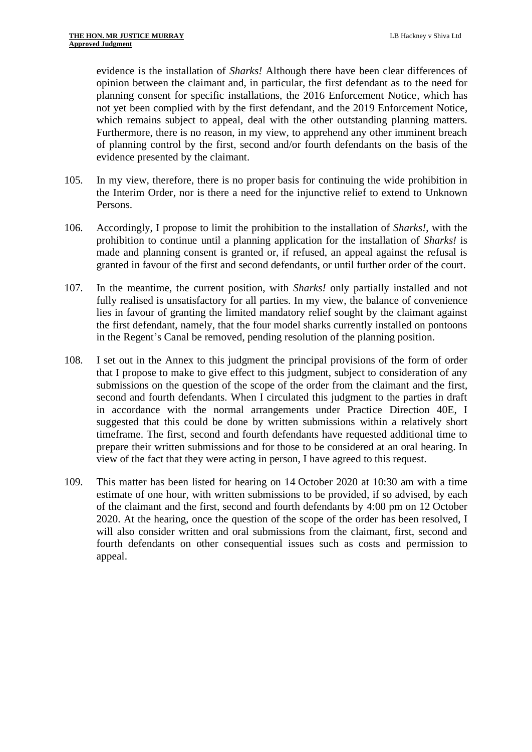evidence is the installation of *Sharks!* Although there have been clear differences of opinion between the claimant and, in particular, the first defendant as to the need for planning consent for specific installations, the 2016 Enforcement Notice, which has not yet been complied with by the first defendant, and the 2019 Enforcement Notice, which remains subject to appeal, deal with the other outstanding planning matters. Furthermore, there is no reason, in my view, to apprehend any other imminent breach of planning control by the first, second and/or fourth defendants on the basis of the evidence presented by the claimant.

- 105. In my view, therefore, there is no proper basis for continuing the wide prohibition in the Interim Order, nor is there a need for the injunctive relief to extend to Unknown Persons.
- 106. Accordingly, I propose to limit the prohibition to the installation of *Sharks!*, with the prohibition to continue until a planning application for the installation of *Sharks!* is made and planning consent is granted or, if refused, an appeal against the refusal is granted in favour of the first and second defendants, or until further order of the court.
- 107. In the meantime, the current position, with *Sharks!* only partially installed and not fully realised is unsatisfactory for all parties. In my view, the balance of convenience lies in favour of granting the limited mandatory relief sought by the claimant against the first defendant, namely, that the four model sharks currently installed on pontoons in the Regent's Canal be removed, pending resolution of the planning position.
- 108. I set out in the Annex to this judgment the principal provisions of the form of order that I propose to make to give effect to this judgment, subject to consideration of any submissions on the question of the scope of the order from the claimant and the first, second and fourth defendants. When I circulated this judgment to the parties in draft in accordance with the normal arrangements under Practice Direction 40E, I suggested that this could be done by written submissions within a relatively short timeframe. The first, second and fourth defendants have requested additional time to prepare their written submissions and for those to be considered at an oral hearing. In view of the fact that they were acting in person, I have agreed to this request.
- 109. This matter has been listed for hearing on 14 October 2020 at 10:30 am with a time estimate of one hour, with written submissions to be provided, if so advised, by each of the claimant and the first, second and fourth defendants by 4:00 pm on 12 October 2020. At the hearing, once the question of the scope of the order has been resolved, I will also consider written and oral submissions from the claimant, first, second and fourth defendants on other consequential issues such as costs and permission to appeal.